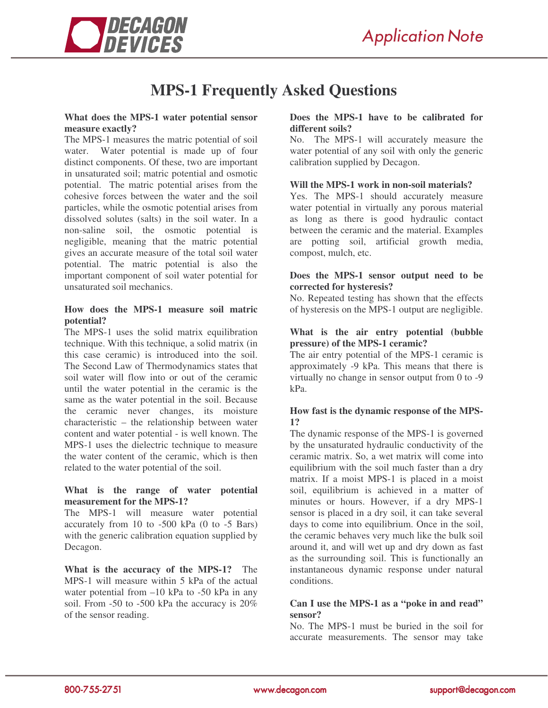

# **MPS-1 Frequently Asked Questions**

#### **What does the MPS-1 water potential sensor measure exactly?**

The MPS-1 measures the matric potential of soil water. Water potential is made up of four distinct components. Of these, two are important in unsaturated soil; matric potential and osmotic potential. The matric potential arises from the cohesive forces between the water and the soil particles, while the osmotic potential arises from dissolved solutes (salts) in the soil water. In a non-saline soil, the osmotic potential is negligible, meaning that the matric potential gives an accurate measure of the total soil water potential. The matric potential is also the important component of soil water potential for unsaturated soil mechanics.

#### **How does the MPS-1 measure soil matric potential?**

The MPS-1 uses the solid matrix equilibration technique. With this technique, a solid matrix (in this case ceramic) is introduced into the soil. The Second Law of Thermodynamics states that soil water will flow into or out of the ceramic until the water potential in the ceramic is the same as the water potential in the soil. Because the ceramic never changes, its moisture characteristic – the relationship between water content and water potential - is well known. The MPS-1 uses the dielectric technique to measure the water content of the ceramic, which is then related to the water potential of the soil.

#### **What is the range of water potential measurement for the MPS-1?**

The MPS-1 will measure water potential accurately from 10 to -500 kPa (0 to -5 Bars) with the generic calibration equation supplied by Decagon.

**What is the accuracy of the MPS-1?** The MPS-1 will measure within 5 kPa of the actual water potential from  $-10$  kPa to  $-50$  kPa in any soil. From -50 to -500 kPa the accuracy is 20% of the sensor reading.

# **Does the MPS-1 have to be calibrated for different soils?**

No. The MPS-1 will accurately measure the water potential of any soil with only the generic calibration supplied by Decagon.

#### **Will the MPS-1 work in non-soil materials?**

Yes. The MPS-1 should accurately measure water potential in virtually any porous material as long as there is good hydraulic contact between the ceramic and the material. Examples are potting soil, artificial growth media, compost, mulch, etc.

#### **Does the MPS-1 sensor output need to be corrected for hysteresis?**

No. Repeated testing has shown that the effects of hysteresis on the MPS-1 output are negligible.

## **What is the air entry potential (bubble pressure) of the MPS-1 ceramic?**

The air entry potential of the MPS-1 ceramic is approximately -9 kPa. This means that there is virtually no change in sensor output from 0 to -9 kPa.

# **How fast is the dynamic response of the MPS-1?**

The dynamic response of the MPS-1 is governed by the unsaturated hydraulic conductivity of the ceramic matrix. So, a wet matrix will come into equilibrium with the soil much faster than a dry matrix. If a moist MPS-1 is placed in a moist soil, equilibrium is achieved in a matter of minutes or hours. However, if a dry MPS-1 sensor is placed in a dry soil, it can take several days to come into equilibrium. Once in the soil, the ceramic behaves very much like the bulk soil around it, and will wet up and dry down as fast as the surrounding soil. This is functionally an instantaneous dynamic response under natural conditions.

#### **Can I use the MPS-1 as a "poke in and read" sensor?**

No. The MPS-1 must be buried in the soil for accurate measurements. The sensor may take